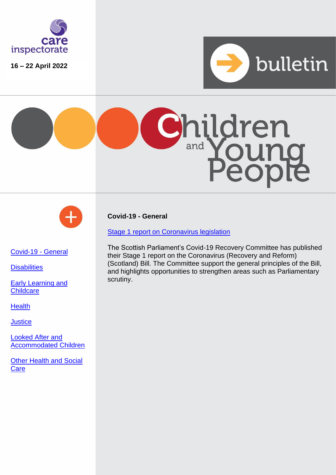

**16 – 22 April 2022**







<span id="page-0-0"></span>[Covid-19 -](#page-0-0) General

**[Disabilities](#page-1-0)** 

[Early Learning](#page-1-1) and **[Childcare](#page-1-1)** 

**[Health](#page-1-2)** 

**[Justice](#page-1-3)** 

[Looked After and](#page-2-0)  [Accommodated Children](#page-2-0)

[Other Health and Social](#page-2-1)  **[Care](#page-2-1)** 

**Covid-19 - General**

[Stage 1 report on Coronavirus legislation](https://digitalpublications.parliament.scot/Committees/Report/CVDR/2022/4/22/6513915c-813d-4c05-ad49-5178e8fb98c0#Introduction)

The Scottish Parliament's Covid-19 Recovery Committee has published their Stage 1 report on the Coronavirus (Recovery and Reform) (Scotland) Bill. The Committee support the general principles of the Bill, and highlights opportunities to strengthen areas such as Parliamentary scrutiny.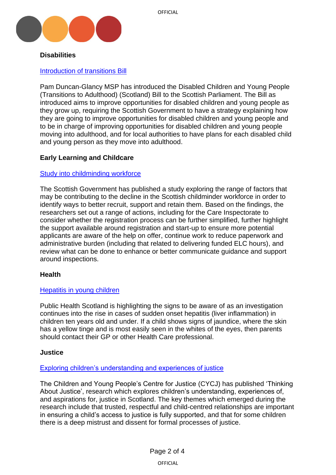

### <span id="page-1-0"></span>**Disabilities**

### [Introduction of transitions Bill](https://www.parliament.scot/bills-and-laws/bills/disabled-children-and-young-people-transitions-to-adulthood-scotland-bill-session-6/introduced)

Pam Duncan-Glancy MSP has introduced the Disabled Children and Young People (Transitions to Adulthood) (Scotland) Bill to the Scottish Parliament. The Bill as introduced aims to improve opportunities for disabled children and young people as they grow up, requiring the Scottish Government to have a strategy explaining how they are going to improve opportunities for disabled children and young people and to be in charge of improving opportunities for disabled children and young people moving into adulthood, and for local authorities to have plans for each disabled child and young person as they move into adulthood.

## <span id="page-1-1"></span>**Early Learning and Childcare**

#### [Study into childminding workforce](https://www.gov.scot/publications/childminding-workforce-trends-qualitative-research-report/)

The Scottish Government has published a study exploring the range of factors that may be contributing to the decline in the Scottish childminder workforce in order to identify ways to better recruit, support and retain them. Based on the findings, the researchers set out a range of actions, including for the Care Inspectorate to consider whether the registration process can be further simplified, further highlight the support available around registration and start-up to ensure more potential applicants are aware of the help on offer, continue work to reduce paperwork and administrative burden (including that related to delivering funded ELC hours), and review what can be done to enhance or better communicate guidance and support around inspections.

#### <span id="page-1-2"></span>**Health**

#### [Hepatitis in young children](https://www.publichealthscotland.scot/news/2022/april/update-on-hepatitis-in-young-children-in-scotland/)

Public Health Scotland is highlighting the signs to be aware of as an investigation continues into the rise in cases of sudden onset hepatitis (liver inflammation) in children ten years old and under. If a child shows signs of jaundice, where the skin has a yellow tinge and is most easily seen in the whites of the eyes, then parents should contact their GP or other Health Care professional.

#### <span id="page-1-3"></span>**Justice**

#### [Exploring children's understanding and experiences of justice](https://www.cycj.org.uk/news/thinkjustice/)

The Children and Young People's Centre for Justice (CYCJ) has published 'Thinking About Justice', research which explores children's understanding, experiences of, and aspirations for, justice in Scotland. The key themes which emerged during the research include that trusted, respectful and child-centred relationships are important in ensuring a child's access to justice is fully supported, and that for some children there is a deep mistrust and dissent for formal processes of justice.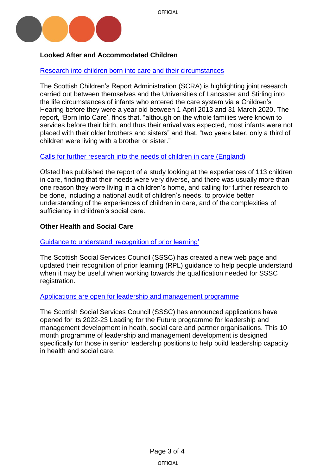



# <span id="page-2-0"></span>**Looked After and Accommodated Children**

Research into [children born into care and their circumstances](https://www.scra.gov.uk/2022/04/study-reveals-few-infants-taken-into-care-are-placed-with-brothers-and-sisters/)

The Scottish Children's Report Administration (SCRA) is highlighting joint research carried out between themselves and the Universities of Lancaster and Stirling into the life circumstances of infants who entered the care system via a Children's Hearing before they were a year old between 1 April 2013 and 31 March 2020. The report, 'Born into Care', finds that, "although on the whole families were known to services before their birth, and thus their arrival was expected, most infants were not placed with their older brothers and sisters" and that, "two years later, only a third of children were living with a brother or sister."

# [Calls for further research into the needs of children in care \(England\)](https://www.gov.uk/government/news/lack-of-collective-knowledge-on-needs-of-children-in-care)

Ofsted has published the report of a study looking at the experiences of 113 children in care, finding that their needs were very diverse, and there was usually more than one reason they were living in a children's home, and calling for further research to be done, including a national audit of children's needs, to provide better understanding of the experiences of children in care, and of the complexities of sufficiency in children's social care.

## <span id="page-2-1"></span>**Other Health and Social Care**

[Guidance to understand 'recognition of prior learning'](https://news.sssc.uk.com/news/get-credit-for-your-prior-learning)

The Scottish Social Services Council (SSSC) has created a new web page and updated their recognition of prior learning (RPL) guidance to help people understand when it may be useful when working towards the qualification needed for SSSC registration.

#### [Applications are open for leadership and management programme](https://news.sssc.uk.com/news/apply-now-for-leading-for-the-future)

The Scottish Social Services Council (SSSC) has announced applications have opened for its 2022-23 Leading for the Future programme for leadership and management development in heath, social care and partner organisations. This 10 month programme of leadership and management development is designed specifically for those in senior leadership positions to help build leadership capacity in health and social care.